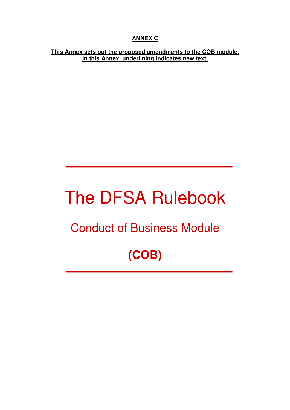# **ANNEX C**

#### **This Annex sets out the proposed amendments to the COB module. In this Annex, underlining indicates new text.**

# The DFSA Rulebook

# Conduct of Business Module

# **(COB)**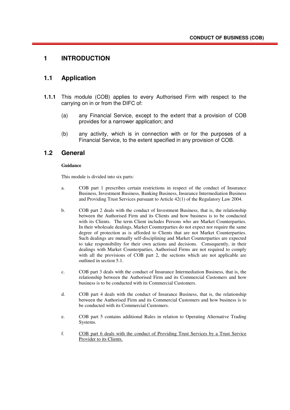#### **1 INTRODUCTION**

#### **1.1 Application**

- **1.1.1** This module (COB) applies to every Authorised Firm with respect to the carrying on in or from the DIFC of:
	- (a) any Financial Service, except to the extent that a provision of COB provides for a narrower application; and
	- (b) any activity, which is in connection with or for the purposes of a Financial Service, to the extent specified in any provision of COB.

#### **1.2 General**

#### **Guidance**

This module is divided into six parts:

- a. COB part 1 prescribes certain restrictions in respect of the conduct of Insurance Business, Investment Business, Banking Business, Insurance Intermediation Business and Providing Trust Services pursuant to Article 42(1) of the Regulatory Law 2004.
- b. COB part 2 deals with the conduct of Investment Business, that is, the relationship between the Authorised Firm and its Clients and how business is to be conducted with its Clients. The term Client includes Persons who are Market Counterparties. In their wholesale dealings, Market Counterparties do not expect nor require the same degree of protection as is afforded to Clients that are not Market Counterparties. Such dealings are mutually self-disciplining and Market Counterparties are expected to take responsibility for their own actions and decisions. Consequently, in their dealings with Market Counterparties, Authorised Firms are not required to comply with all the provisions of COB part 2, the sections which are not applicable are outlined in section 5.1.
- c. COB part 3 deals with the conduct of Insurance Intermediation Business, that is, the relationship between the Authorised Firm and its Commercial Customers and how business is to be conducted with its Commercial Customers.
- d. COB part 4 deals with the conduct of Insurance Business, that is, the relationship between the Authorised Firm and its Commercial Customers and how business is to be conducted with its Commercial Customers.
- e. COB part 5 contains additional Rules in relation to Operating Alternative Trading Systems.
- f. COB part 6 deals with the conduct of Providing Trust Services by a Trust Service Provider to its Clients.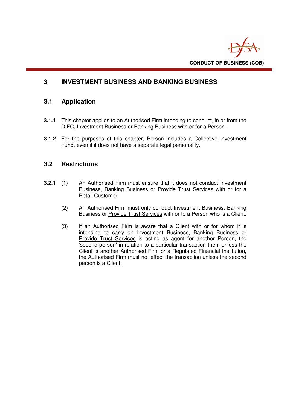

# **3 INVESTMENT BUSINESS AND BANKING BUSINESS**

#### **3.1 Application**

- **3.1.1** This chapter applies to an Authorised Firm intending to conduct, in or from the DIFC, Investment Business or Banking Business with or for a Person.
- **3.1.2** For the purposes of this chapter, Person includes a Collective Investment Fund, even if it does not have a separate legal personality.

#### **3.2 Restrictions**

- **3.2.1** (1) An Authorised Firm must ensure that it does not conduct Investment Business, Banking Business or Provide Trust Services with or for a Retail Customer.
	- (2) An Authorised Firm must only conduct Investment Business, Banking Business or **Provide Trust Services** with or to a Person who is a Client.
	- (3) If an Authorised Firm is aware that a Client with or for whom it is intending to carry on Investment Business, Banking Business or Provide Trust Services is acting as agent for another Person, the 'second person' in relation to a particular transaction then, unless the Client is another Authorised Firm or a Regulated Financial Institution, the Authorised Firm must not effect the transaction unless the second person is a Client.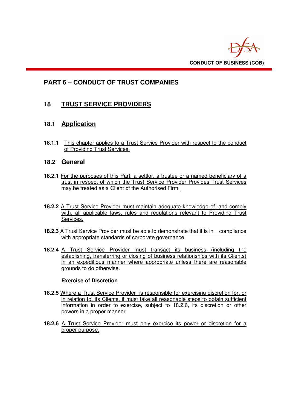

# **PART 6 – CONDUCT OF TRUST COMPANIES**

# **18 TRUST SERVICE PROVIDERS**

# **18.1 Application**

**18.1.1** This chapter applies to a Trust Service Provider with respect to the conduct of Providing Trust Services.

#### **18.2 General**

- **18.2.1** For the purposes of this Part, a settlor, a trustee or a named beneficiary of a trust in respect of which the Trust Service Provider Provides Trust Services may be treated as a Client of the Authorised Firm.
- **18.2.2** A Trust Service Provider must maintain adequate knowledge of, and comply with, all applicable laws, rules and regulations relevant to Providing Trust Services.
- **18.2.3** A Trust Service Provider must be able to demonstrate that it is in compliance with appropriate standards of corporate governance.
- **18.2.4** A Trust Service Provider must transact its business (including the establishing, transferring or closing of business relationships with its Clients) in an expeditious manner where appropriate unless there are reasonable grounds to do otherwise.

#### **Exercise of Discretion**

- **18.2.5** Where a Trust Service Provider is responsible for exercising discretion for, or in relation to, its Clients, it must take all reasonable steps to obtain sufficient information in order to exercise, subject to 18.2.6, its discretion or other powers in a proper manner.
- **18.2.6** A Trust Service Provider must only exercise its power or discretion for a proper purpose.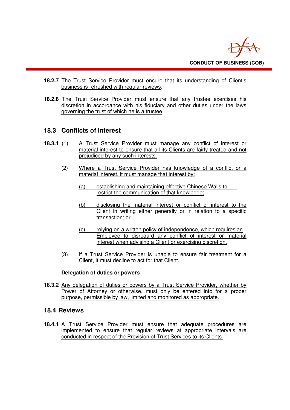

- **18.2.7** The Trust Service Provider must ensure that its understanding of Client's business is refreshed with regular reviews.
- **18.2.8** The Trust Service Provider must ensure that any trustee exercises his discretion in accordance with his fiduciary and other duties under the laws governing the trust of which he is a trustee.

# **18.3 Conflicts of interest**

- **18.3.1** (1) A Trust Service Provider must manage any conflict of interest or material interest to ensure that all its Clients are fairly treated and not prejudiced by any such interests.
	- (2) Where a Trust Service Provider has knowledge of a conflict or a material interest, it must manage that interest by:
		- (a) establishing and maintaining effective Chinese Walls to restrict the communication of that knowledge;
		- (b) disclosing the material interest or conflict of interest to the Client in writing either generally or in relation to a specific transaction; or
		- (c) relying on a written policy of independence, which requires an Employee to disregard any conflict of interest or material interest when advising a Client or exercising discretion.
	- (3) If a Trust Service Provider is unable to ensure fair treatment for a Client, it must decline to act for that Client.

#### **Delegation of duties or powers**

**18.3.2** Any delegation of duties or powers by a Trust Service Provider, whether by Power of Attorney or otherwise, must only be entered into for a proper purpose, permissible by law, limited and monitored as appropriate.

#### **18.4 Reviews**

**18.4.1** A Trust Service Provider must ensure that adequate procedures are implemented to ensure that regular reviews at appropriate intervals are conducted in respect of the Provision of Trust Services to its Clients.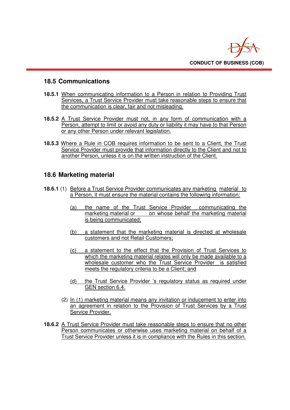

# **18.5 Communications**

- **18.5.1** When communicating information to a Person in relation to Providing Trust Services, a Trust Service Provider must take reasonable steps to ensure that the communication is clear, fair and not misleading.
- **18.5.2** A Trust Service Provider must not, in any form of communication with a Person, attempt to limit or avoid any duty or liability it may have to that Person or any other Person under relevant legislation.
- **18.5.3** Where a Rule in COB requires information to be sent to a Client, the Trust Service Provider must provide that information directly to the Client and not to another Person, unless it is on the written instruction of the Client.

# **18.6 Marketing material**

- **18.6.1** (1) Before a Trust Service Provider communicates any marketing material to a Person, it must ensure the material contains the following information:
	- (a) the name of the Trust Service Provider communicating the marketing material or on whose behalf the marketing material on whose behalf the marketing material is being communicated;
	- (b) a statement that the marketing material is directed at wholesale customers and not Retail Customers;
	- (c) a statement to the effect that the Provision of Trust Services to which the marketing material relates will only be made available to a wholesale customer who the Trust Service Provider is satisfied meets the regulatory criteria to be a Client; and
	- (d) the Trust Service Provider 's regulatory status as required under GEN section 6.4.
	- (2) In (1) marketing material means any invitation or inducement to enter into an agreement in relation to the Provision of Trust Services by a Trust Service Provider.
- **18.6.2** A Trust Service Provider must take reasonable steps to ensure that no other Person communicates or otherwise uses marketing material on behalf of a Trust Service Provider unless it is in compliance with the Rules in this section.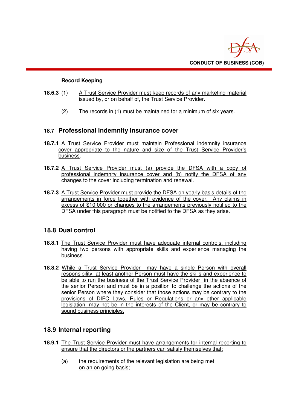

#### **Record Keeping**

- **18.6.3** (1) A Trust Service Provider must keep records of any marketing material issued by, or on behalf of, the Trust Service Provider.
	- (2) The records in (1) must be maintained for a minimum of six years.

#### **18.7 Professional indemnity insurance cover**

- **18.7.1** A Trust Service Provider must maintain Professional indemnity insurance cover appropriate to the nature and size of the Trust Service Provider's business.
- **18.7.2** A Trust Service Provider must (a) provide the DFSA with a copy of professional indemnity insurance cover and (b) notify the DFSA of any changes to the cover including termination and renewal.
- **18.7.3** A Trust Service Provider must provide the DFSA on yearly basis details of the arrangements in force together with evidence of the cover. Any claims in excess of \$10,000 or changes to the arrangements previously notified to the DFSA under this paragraph must be notified to the DFSA as they arise.

# **18.8 Dual control**

- **18.8.1** The Trust Service Provider must have adequate internal controls, including having two persons with appropriate skills and experience managing the business.
- **18.8.2** While a Trust Service Provider may have a single Person with overall responsibility, at least another Person must have the skills and experience to be able to run the business of the Trust Service Provider in the absence of the senior Person and must be in a position to challenge the actions of the senior Person where they consider that those actions may be contrary to the provisions of DIFC Laws, Rules or Regulations or any other applicable legislation, may not be in the interests of the Client, or may be contrary to sound business principles.

# **18.9 Internal reporting**

- **18.9.1** The Trust Service Provider must have arrangements for internal reporting to ensure that the directors or the partners can satisfy themselves that:
	- (a) the requirements of the relevant legislation are being met on an on going basis;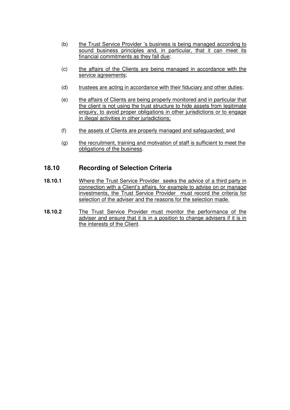- (b) the Trust Service Provider 's business is being managed according to sound business principles and, in particular, that it can meet its financial commitments as they fall due;
- (c) the affairs of the Clients are being managed in accordance with the service agreements;
- (d) trustees are acting in accordance with their fiduciary and other duties;
- (e) the affairs of Clients are being properly monitored and in particular that the client is not using the trust structure to hide assets from legitimate enquiry, to avoid proper obligations in other jurisdictions or to engage in illegal activities in other jurisdictions;
- (f) the assets of Clients are properly managed and safeguarded; and
- (g) the recruitment, training and motivation of staff is sufficient to meet the obligations of the business.

#### **18.10 Recording of Selection Criteria**

- **18.10.1** Where the Trust Service Provider seeks the advice of a third party in connection with a Client's affairs, for example to advise on or manage investments, the Trust Service Provider must record the criteria for selection of the adviser and the reasons for the selection made.
- **18.10.2** The Trust Service Provider must monitor the performance of the adviser and ensure that it is in a position to change advisers if it is in the interests of the Client.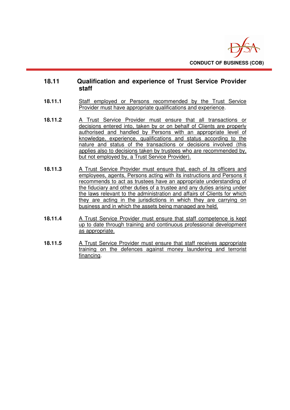

#### **18.11 Qualification and experience of Trust Service Provider staff**

- 18.11.1 **Staff employed or Persons recommended by the Trust Service** Provider must have appropriate qualifications and experience.
- **18.11.2** A Trust Service Provider must ensure that all transactions or decisions entered into, taken by or on behalf of Clients are properly authorised and handled by Persons with an appropriate level of knowledge, experience, qualifications and status according to the nature and status of the transactions or decisions involved (this applies also to decisions taken by trustees who are recommended by, but not employed by, a Trust Service Provider).
- **18.11.3** A Trust Service Provider must ensure that, each of its officers and employees, agents, Persons acting with its instructions and Persons it recommends to act as trustees have an appropriate understanding of the fiduciary and other duties of a trustee and any duties arising under the laws relevant to the administration and affairs of Clients for which they are acting in the jurisdictions in which they are carrying on business and in which the assets being managed are held.
- **18.11.4** A Trust Service Provider must ensure that staff competence is kept up to date through training and continuous professional development as appropriate.
- **18.11.5** A Trust Service Provider must ensure that staff receives appropriate training on the defences against money laundering and terrorist financing.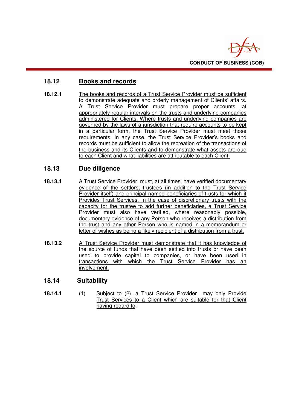

# **18.12 Books and records**

**18.12.1** The books and records of a Trust Service Provider must be sufficient to demonstrate adequate and orderly management of Clients' affairs. A Trust Service Provider must prepare proper accounts, at appropriately regular intervals on the trusts and underlying companies administered for Clients. Where trusts and underlying companies are governed by the laws of a jurisdiction that require accounts to be kept in a particular form, the Trust Service Provider must meet those requirements. In any case, the Trust Service Provider's books and records must be sufficient to allow the recreation of the transactions of the business and its Clients and to demonstrate what assets are due to each Client and what liabilities are attributable to each Client.

# **18.13 Due diligence**

- **18.13.1** A Trust Service Provider must, at all times, have verified documentary evidence of the settlors, trustees (in addition to the Trust Service Provider itself) and principal named beneficiaries of trusts for which it Provides Trust Services. In the case of discretionary trusts with the capacity for the trustee to add further beneficiaries, a Trust Service Provider must also have verified, where reasonably possible, documentary evidence of any Person who receives a distribution from the trust and any other Person who is named in a memorandum or letter of wishes as being a likely recipient of a distribution from a trust.
- **18.13.2** A Trust Service Provider must demonstrate that it has knowledge of the source of funds that have been settled into trusts or have been used to provide capital to companies, or have been used in transactions with which the Trust Service Provider has an involvement.

# **18.14 Suitability**

**18.14.1** (1) Subject to (2), a Trust Service Provider may only Provide Trust Services to a Client which are suitable for that Client having regard to: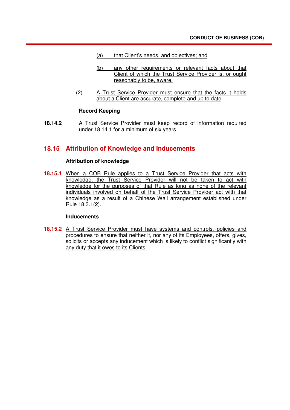- (a) that Client's needs, and objectives; and
- (b) any other requirements or relevant facts about that Client of which the Trust Service Provider is, or ought reasonably to be, aware.
- (2) A Trust Service Provider must ensure that the facts it holds about a Client are accurate, complete and up to date.

#### **Record Keeping**

**18.14.2** A Trust Service Provider must keep record of information required under 18.14.1 for a minimum of six years.

#### **18.15 Attribution of Knowledge and Inducements**

#### **Attribution of knowledge**

**18.15.1** When a COB Rule applies to a Trust Service Provider that acts with knowledge, the Trust Service Provider will not be taken to act with knowledge for the purposes of that Rule as long as none of the relevant individuals involved on behalf of the Trust Service Provider act with that knowledge as a result of a Chinese Wall arrangement established under Rule 18.3.1(2).

#### **Inducements**

**18.15.2** A Trust Service Provider must have systems and controls, policies and procedures to ensure that neither it, nor any of its Employees, offers, gives, solicits or accepts any inducement which is likely to conflict significantly with any duty that it owes to its Clients.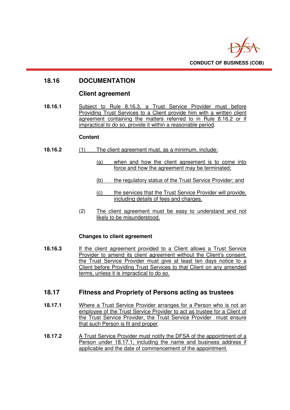

# **18.16 DOCUMENTATION**

#### **Client agreement**

**18.16.1** Subject to Rule 8.16.3, a Trust Service Provider must before Providing Trust Services to a Client provide him with a written client agreement containing the matters referred to in Rule 8.16.2 or if impractical to do so, provide it within a reasonable period.

#### **Content**

- **18.16.2** (1) The client agreement must, as a minimum, include:
	- (a) when and how the client agreement is to come into force and how the agreement may be terminated;
	- (b) the regulatory status of the Trust Service Provider; and
	- (c) the services that the Trust Service Provider will provide, including details of fees and charges.
	- (2) The client agreement must be easy to understand and not likely to be misunderstood.

#### **Changes to client agreement**

**18.16.3** If the client agreement provided to a Client allows a Trust Service Provider to amend its client agreement without the Client's consent, the Trust Service Provider must give at least ten days notice to a Client before Providing Trust Services to that Client on any amended terms, unless it is impractical to do so.

#### **18.17 Fitness and Propriety of Persons acting as trustees**

- **18.17.1** Where a Trust Service Provider arranges for a Person who is not an employee of the Trust Service Provider to act as trustee for a Client of the Trust Service Provider, the Trust Service Provider must ensure that such Person is fit and proper.
- **18.17.2** A Trust Service Provider must notify the DFSA of the appointment of a Person under 18.17.1, including the name and business address if applicable and the date of commencement of the appointment.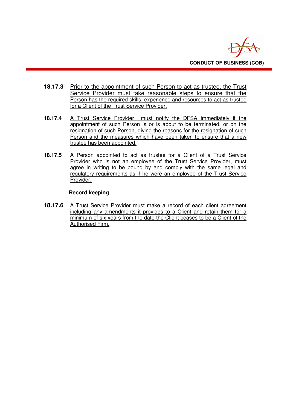

- **18.17.3** Prior to the appointment of such Person to act as trustee, the Trust Service Provider must take reasonable steps to ensure that the Person has the required skills, experience and resources to act as trustee for a Client of the Trust Service Provider.
- **18.17.4** A Trust Service Provider must notify the DFSA immediately if the appointment of such Person is or is about to be terminated, or on the resignation of such Person, giving the reasons for the resignation of such Person and the measures which have been taken to ensure that a new trustee has been appointed.
- **18.17.5** A Person appointed to act as trustee for a Client of a Trust Service Provider who is not an employee of the Trust Service Provider, must agree in writing to be bound by and comply with the same legal and regulatory requirements as if he were an employee of the Trust Service Provider.

#### **Record keeping**

**18.17.6** A Trust Service Provider must make a record of each client agreement including any amendments it provides to a Client and retain them for a minimum of six years from the date the Client ceases to be a Client of the Authorised Firm.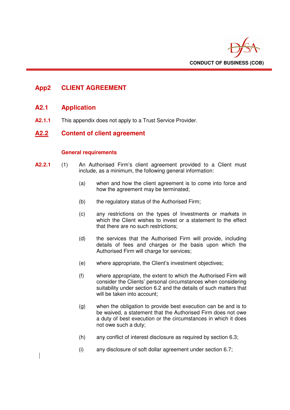

# **App2 CLIENT AGREEMENT**

#### **A2.1 Application**

**A2.1.1** This appendix does not apply to a Trust Service Provider.

#### **A2.2 Content of client agreement**

#### **General requirements**

- **A2.2.1** (1) An Authorised Firm's client agreement provided to a Client must include, as a minimum, the following general information:
	- (a) when and how the client agreement is to come into force and how the agreement may be terminated;
	- (b) the regulatory status of the Authorised Firm;
	- (c) any restrictions on the types of Investments or markets in which the Client wishes to invest or a statement to the effect that there are no such restrictions;
	- (d) the services that the Authorised Firm will provide, including details of fees and charges or the basis upon which the Authorised Firm will charge for services;
	- (e) where appropriate, the Client's investment objectives;
	- (f) where appropriate, the extent to which the Authorised Firm will consider the Clients' personal circumstances when considering suitability under section 6.2 and the details of such matters that will be taken into account:
	- (g) when the obligation to provide best execution can be and is to be waived, a statement that the Authorised Firm does not owe a duty of best execution or the circumstances in which it does not owe such a duty;
	- (h) any conflict of interest disclosure as required by section 6.3;
	- (i) any disclosure of soft dollar agreement under section 6.7;